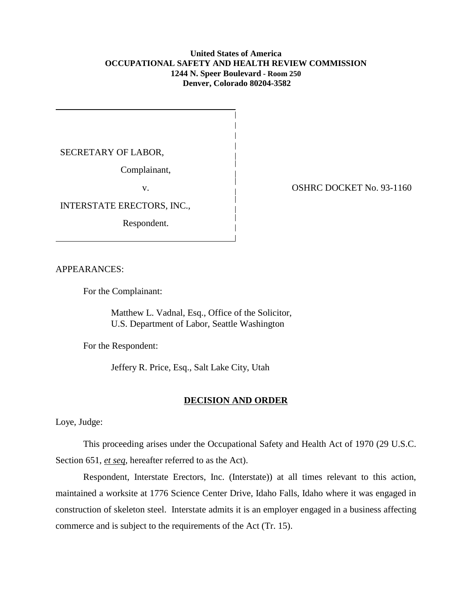### **United States of America OCCUPATIONAL SAFETY AND HEALTH REVIEW COMMISSION 1244 N. Speer Boulevard - Room 250 Denver, Colorado 80204-3582**

SECRETARY OF LABOR,

Complainant,

INTERSTATE ERECTORS, INC.,

Respondent.

v. COSHRC DOCKET No. 93-1160

APPEARANCES:

For the Complainant:

Matthew L. Vadnal, Esq., Office of the Solicitor, U.S. Department of Labor, Seattle Washington

For the Respondent:

Jeffery R. Price, Esq., Salt Lake City, Utah

### **DECISION AND ORDER**

Loye, Judge:

This proceeding arises under the Occupational Safety and Health Act of 1970 (29 U.S.C. Section 651, *et seq*, hereafter referred to as the Act).

Respondent, Interstate Erectors, Inc. (Interstate)) at all times relevant to this action, maintained a worksite at 1776 Science Center Drive, Idaho Falls, Idaho where it was engaged in construction of skeleton steel. Interstate admits it is an employer engaged in a business affecting commerce and is subject to the requirements of the Act (Tr. 15).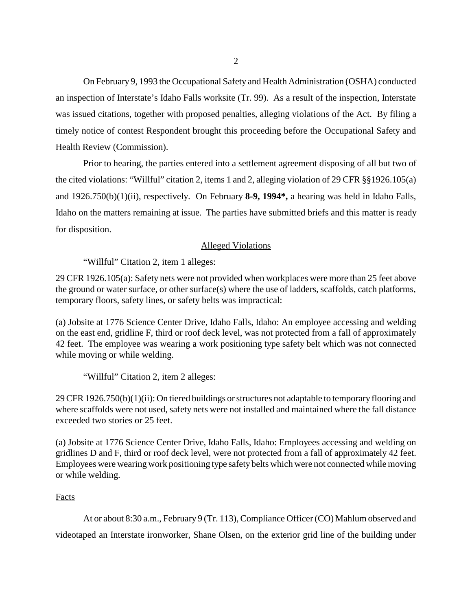On February 9, 1993 the Occupational Safety and Health Administration (OSHA) conducted an inspection of Interstate's Idaho Falls worksite (Tr. 99). As a result of the inspection, Interstate was issued citations, together with proposed penalties, alleging violations of the Act. By filing a timely notice of contest Respondent brought this proceeding before the Occupational Safety and Health Review (Commission).

Prior to hearing, the parties entered into a settlement agreement disposing of all but two of the cited violations: "Willful" citation 2, items 1 and 2, alleging violation of 29 CFR §§1926.105(a) and 1926.750(b)(1)(ii), respectively. On February **8-9, 1994\*,** a hearing was held in Idaho Falls, Idaho on the matters remaining at issue. The parties have submitted briefs and this matter is ready for disposition.

# Alleged Violations

"Willful" Citation 2, item 1 alleges:

29 CFR 1926.105(a): Safety nets were not provided when workplaces were more than 25 feet above the ground or water surface, or other surface(s) where the use of ladders, scaffolds, catch platforms, temporary floors, safety lines, or safety belts was impractical:

(a) Jobsite at 1776 Science Center Drive, Idaho Falls, Idaho: An employee accessing and welding on the east end, gridline F, third or roof deck level, was not protected from a fall of approximately 42 feet. The employee was wearing a work positioning type safety belt which was not connected while moving or while welding.

"Willful" Citation 2, item 2 alleges:

29 CFR 1926.750(b)(1)(ii): On tiered buildings or structures not adaptable to temporary flooring and where scaffolds were not used, safety nets were not installed and maintained where the fall distance exceeded two stories or 25 feet.

(a) Jobsite at 1776 Science Center Drive, Idaho Falls, Idaho: Employees accessing and welding on gridlines D and F, third or roof deck level, were not protected from a fall of approximately 42 feet. Employees were wearing work positioning type safety belts which were not connected while moving or while welding.

## Facts

At or about 8:30 a.m., February 9 (Tr. 113), Compliance Officer (CO) Mahlum observed and videotaped an Interstate ironworker, Shane Olsen, on the exterior grid line of the building under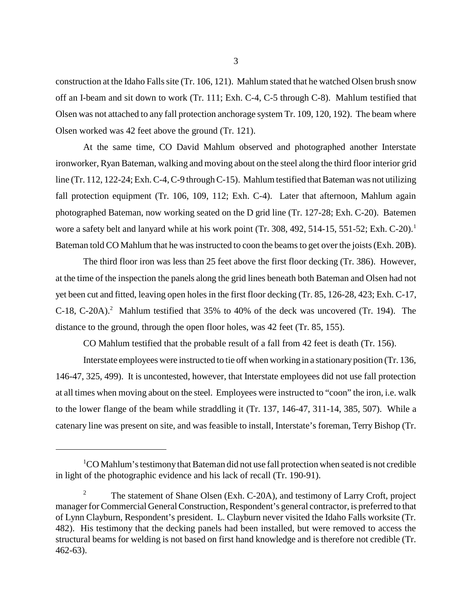construction at the Idaho Falls site (Tr. 106, 121). Mahlum stated that he watched Olsen brush snow off an I-beam and sit down to work (Tr. 111; Exh. C-4, C-5 through C-8). Mahlum testified that Olsen was not attached to any fall protection anchorage system Tr. 109, 120, 192). The beam where Olsen worked was 42 feet above the ground (Tr. 121).

At the same time, CO David Mahlum observed and photographed another Interstate ironworker, Ryan Bateman, walking and moving about on the steel along the third floor interior grid line (Tr. 112, 122-24; Exh. C-4, C-9 through C-15). Mahlum testified that Bateman was not utilizing fall protection equipment (Tr. 106, 109, 112; Exh. C-4). Later that afternoon, Mahlum again photographed Bateman, now working seated on the D grid line (Tr. 127-28; Exh. C-20). Batemen wore a safety belt and lanyard while at his work point (Tr. 308, 492, 514-15, 551-52; Exh. C-20).<sup>1</sup> Bateman told CO Mahlum that he was instructed to coon the beams to get over the joists (Exh. 20B).

The third floor iron was less than 25 feet above the first floor decking (Tr. 386). However, at the time of the inspection the panels along the grid lines beneath both Bateman and Olsen had not yet been cut and fitted, leaving open holes in the first floor decking (Tr. 85, 126-28, 423; Exh. C-17, C-18, C-20A).<sup>2</sup> Mahlum testified that  $35\%$  to 40% of the deck was uncovered (Tr. 194). The distance to the ground, through the open floor holes, was 42 feet (Tr. 85, 155).

CO Mahlum testified that the probable result of a fall from 42 feet is death (Tr. 156).

Interstate employees were instructed to tie off when working in a stationary position (Tr. 136, 146-47, 325, 499). It is uncontested, however, that Interstate employees did not use fall protection at all times when moving about on the steel. Employees were instructed to "coon" the iron, i.e. walk to the lower flange of the beam while straddling it (Tr. 137, 146-47, 311-14, 385, 507). While a catenary line was present on site, and was feasible to install, Interstate's foreman, Terry Bishop (Tr.

 ${}^{1}$ CO Mahlum's testimony that Bateman did not use fall protection when seated is not credible in light of the photographic evidence and his lack of recall (Tr. 190-91).

<sup>&</sup>lt;sup>2</sup> The statement of Shane Olsen (Exh. C-20A), and testimony of Larry Croft, project manager for Commercial General Construction, Respondent's general contractor, is preferred to that of Lynn Clayburn, Respondent's president. L. Clayburn never visited the Idaho Falls worksite (Tr. 482). His testimony that the decking panels had been installed, but were removed to access the structural beams for welding is not based on first hand knowledge and is therefore not credible (Tr. 462-63).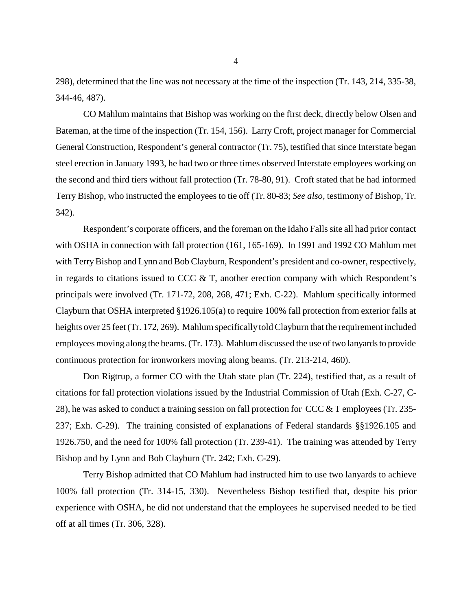298), determined that the line was not necessary at the time of the inspection (Tr. 143, 214, 335-38, 344-46, 487).

CO Mahlum maintains that Bishop was working on the first deck, directly below Olsen and Bateman, at the time of the inspection (Tr. 154, 156). Larry Croft, project manager for Commercial General Construction, Respondent's general contractor (Tr. 75), testified that since Interstate began steel erection in January 1993, he had two or three times observed Interstate employees working on the second and third tiers without fall protection (Tr. 78-80, 91). Croft stated that he had informed Terry Bishop, who instructed the employees to tie off (Tr. 80-83; *See also,* testimony of Bishop, Tr. 342).

Respondent's corporate officers, and the foreman on the Idaho Falls site all had prior contact with OSHA in connection with fall protection (161, 165-169). In 1991 and 1992 CO Mahlum met with Terry Bishop and Lynn and Bob Clayburn, Respondent's president and co-owner, respectively, in regards to citations issued to CCC  $\&$  T, another erection company with which Respondent's principals were involved (Tr. 171-72, 208, 268, 471; Exh. C-22). Mahlum specifically informed Clayburn that OSHA interpreted §1926.105(a) to require 100% fall protection from exterior falls at heights over 25 feet (Tr. 172, 269). Mahlum specifically told Clayburn that the requirement included employees moving along the beams. (Tr. 173). Mahlum discussed the use of two lanyards to provide continuous protection for ironworkers moving along beams. (Tr. 213-214, 460).

Don Rigtrup, a former CO with the Utah state plan (Tr. 224), testified that, as a result of citations for fall protection violations issued by the Industrial Commission of Utah (Exh. C-27, C-28), he was asked to conduct a training session on fall protection for CCC & T employees (Tr. 235- 237; Exh. C-29). The training consisted of explanations of Federal standards §§1926.105 and 1926.750, and the need for 100% fall protection (Tr. 239-41). The training was attended by Terry Bishop and by Lynn and Bob Clayburn (Tr. 242; Exh. C-29).

Terry Bishop admitted that CO Mahlum had instructed him to use two lanyards to achieve 100% fall protection (Tr. 314-15, 330). Nevertheless Bishop testified that, despite his prior experience with OSHA, he did not understand that the employees he supervised needed to be tied off at all times (Tr. 306, 328).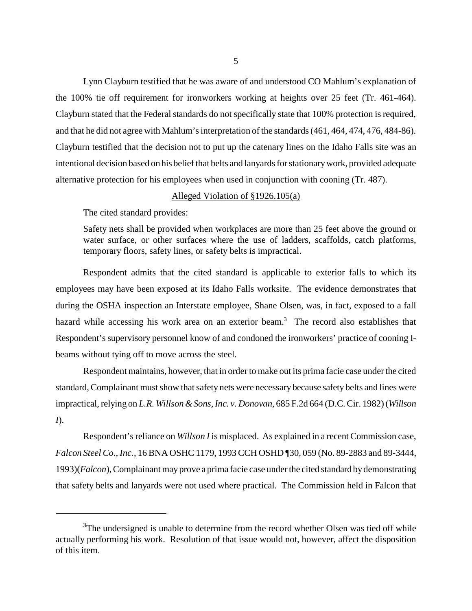Lynn Clayburn testified that he was aware of and understood CO Mahlum's explanation of the 100% tie off requirement for ironworkers working at heights over 25 feet (Tr. 461-464). Clayburn stated that the Federal standards do not specifically state that 100% protection is required, and that he did not agree with Mahlum's interpretation of the standards (461, 464, 474, 476, 484-86). Clayburn testified that the decision not to put up the catenary lines on the Idaho Falls site was an intentional decision based on his belief that belts and lanyards for stationary work, provided adequate alternative protection for his employees when used in conjunction with cooning (Tr. 487).

### Alleged Violation of §1926.105(a)

The cited standard provides:

Safety nets shall be provided when workplaces are more than 25 feet above the ground or water surface, or other surfaces where the use of ladders, scaffolds, catch platforms, temporary floors, safety lines, or safety belts is impractical.

Respondent admits that the cited standard is applicable to exterior falls to which its employees may have been exposed at its Idaho Falls worksite. The evidence demonstrates that during the OSHA inspection an Interstate employee, Shane Olsen, was, in fact, exposed to a fall hazard while accessing his work area on an exterior beam.<sup>3</sup> The record also establishes that Respondent's supervisory personnel know of and condoned the ironworkers' practice of cooning Ibeams without tying off to move across the steel.

Respondent maintains, however, that in order to make out its prima facie case under the cited standard, Complainant must show that safety nets were necessary because safety belts and lines were impractical, relying on *L.R. Willson & Sons, Inc. v. Donovan,* 685 F.2d 664 (D.C. Cir. 1982) (*Willson I*).

Respondent's reliance on *Willson I* is misplaced. As explained in a recent Commission case, *Falcon Steel Co., Inc.*, 16 BNA OSHC 1179, 1993 CCH OSHD ¶30, 059 (No. 89-2883 and 89-3444, 1993)(*Falcon*), Complainant may prove a prima facie case under the cited standard by demonstrating that safety belts and lanyards were not used where practical. The Commission held in Falcon that

 $3$ The undersigned is unable to determine from the record whether Olsen was tied off while actually performing his work. Resolution of that issue would not, however, affect the disposition of this item.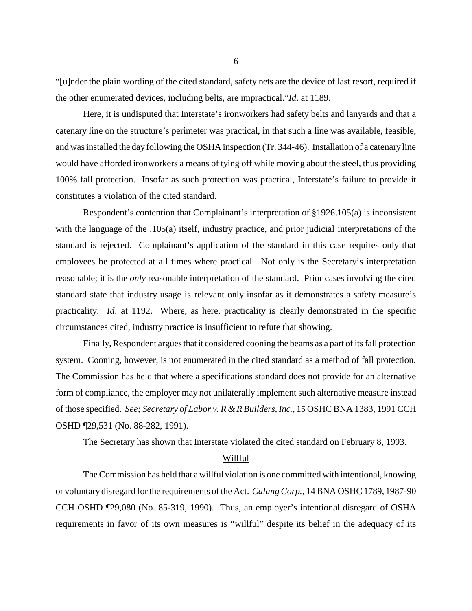"[u]nder the plain wording of the cited standard, safety nets are the device of last resort, required if the other enumerated devices, including belts, are impractical."*Id*. at 1189.

Here, it is undisputed that Interstate's ironworkers had safety belts and lanyards and that a catenary line on the structure's perimeter was practical, in that such a line was available, feasible, and was installed the day following the OSHA inspection (Tr. 344-46). Installation of a catenary line would have afforded ironworkers a means of tying off while moving about the steel, thus providing 100% fall protection. Insofar as such protection was practical, Interstate's failure to provide it constitutes a violation of the cited standard.

Respondent's contention that Complainant's interpretation of §1926.105(a) is inconsistent with the language of the .105(a) itself, industry practice, and prior judicial interpretations of the standard is rejected. Complainant's application of the standard in this case requires only that employees be protected at all times where practical. Not only is the Secretary's interpretation reasonable; it is the *only* reasonable interpretation of the standard. Prior cases involving the cited standard state that industry usage is relevant only insofar as it demonstrates a safety measure's practicality. *Id*. at 1192. Where, as here, practicality is clearly demonstrated in the specific circumstances cited, industry practice is insufficient to refute that showing.

Finally, Respondent argues that it considered cooning the beams as a part of its fall protection system. Cooning, however, is not enumerated in the cited standard as a method of fall protection. The Commission has held that where a specifications standard does not provide for an alternative form of compliance, the employer may not unilaterally implement such alternative measure instead of those specified. *See; Secretary of Labor v. R & R Builders, Inc.*, 15 OSHC BNA 1383, 1991 CCH OSHD ¶29,531 (No. 88-282, 1991).

The Secretary has shown that Interstate violated the cited standard on February 8, 1993.

#### Willful

The Commission has held that a willful violation is one committed with intentional, knowing or voluntary disregard for the requirements of the Act. *Calang Corp.*, 14 BNA OSHC 1789, 1987-90 CCH OSHD ¶29,080 (No. 85-319, 1990). Thus, an employer's intentional disregard of OSHA requirements in favor of its own measures is "willful" despite its belief in the adequacy of its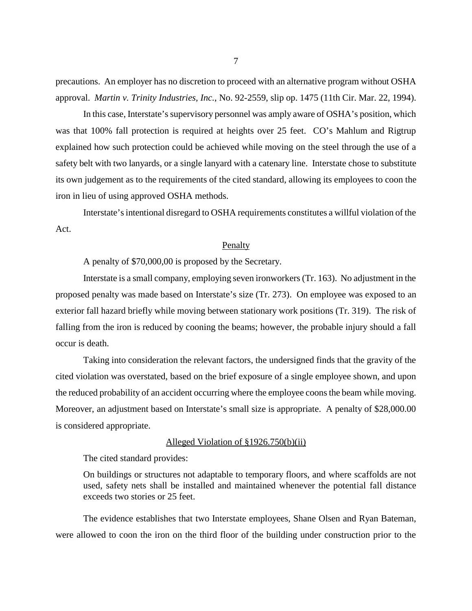precautions. An employer has no discretion to proceed with an alternative program without OSHA approval. *Martin v. Trinity Industries, Inc.*, No. 92-2559, slip op. 1475 (11th Cir. Mar. 22, 1994).

In this case, Interstate's supervisory personnel was amply aware of OSHA's position, which was that 100% fall protection is required at heights over 25 feet. CO's Mahlum and Rigtrup explained how such protection could be achieved while moving on the steel through the use of a safety belt with two lanyards, or a single lanyard with a catenary line. Interstate chose to substitute its own judgement as to the requirements of the cited standard, allowing its employees to coon the iron in lieu of using approved OSHA methods.

Interstate's intentional disregard to OSHA requirements constitutes a willful violation of the Act.

#### **Penalty**

A penalty of \$70,000,00 is proposed by the Secretary.

Interstate is a small company, employing seven ironworkers (Tr. 163). No adjustment in the proposed penalty was made based on Interstate's size (Tr. 273). On employee was exposed to an exterior fall hazard briefly while moving between stationary work positions (Tr. 319). The risk of falling from the iron is reduced by cooning the beams; however, the probable injury should a fall occur is death.

Taking into consideration the relevant factors, the undersigned finds that the gravity of the cited violation was overstated, based on the brief exposure of a single employee shown, and upon the reduced probability of an accident occurring where the employee coons the beam while moving. Moreover, an adjustment based on Interstate's small size is appropriate. A penalty of \$28,000.00 is considered appropriate.

#### Alleged Violation of §1926.750(b)(ii)

The cited standard provides:

On buildings or structures not adaptable to temporary floors, and where scaffolds are not used, safety nets shall be installed and maintained whenever the potential fall distance exceeds two stories or 25 feet.

The evidence establishes that two Interstate employees, Shane Olsen and Ryan Bateman, were allowed to coon the iron on the third floor of the building under construction prior to the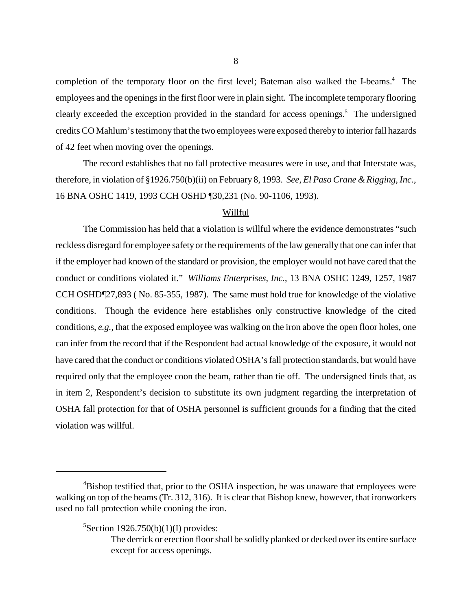completion of the temporary floor on the first level; Bateman also walked the I-beams.<sup>4</sup> The employees and the openings in the first floor were in plain sight. The incomplete temporary flooring clearly exceeded the exception provided in the standard for access openings.<sup>5</sup> The undersigned credits CO Mahlum's testimony that the two employees were exposed thereby to interior fall hazards of 42 feet when moving over the openings.

The record establishes that no fall protective measures were in use, and that Interstate was, therefore, in violation of §1926.750(b)(ii) on February 8, 1993. *See, El Paso Crane & Rigging, Inc.*, 16 BNA OSHC 1419, 1993 CCH OSHD ¶30,231 (No. 90-1106, 1993).

### Willful

The Commission has held that a violation is willful where the evidence demonstrates "such reckless disregard for employee safety or the requirements of the law generally that one can infer that if the employer had known of the standard or provision, the employer would not have cared that the conduct or conditions violated it." *Williams Enterprises, Inc.*, 13 BNA OSHC 1249, 1257, 1987 CCH OSHD¶27,893 ( No. 85-355, 1987). The same must hold true for knowledge of the violative conditions. Though the evidence here establishes only constructive knowledge of the cited conditions, *e.g.,* that the exposed employee was walking on the iron above the open floor holes, one can infer from the record that if the Respondent had actual knowledge of the exposure, it would not have cared that the conduct or conditions violated OSHA's fall protection standards, but would have required only that the employee coon the beam, rather than tie off. The undersigned finds that, as in item 2, Respondent's decision to substitute its own judgment regarding the interpretation of OSHA fall protection for that of OSHA personnel is sufficient grounds for a finding that the cited violation was willful.

 $5$ Section 1926.750(b)(1)(I) provides:

<sup>&</sup>lt;sup>4</sup>Bishop testified that, prior to the OSHA inspection, he was unaware that employees were walking on top of the beams (Tr. 312, 316). It is clear that Bishop knew, however, that ironworkers used no fall protection while cooning the iron.

The derrick or erection floor shall be solidly planked or decked over its entire surface except for access openings.